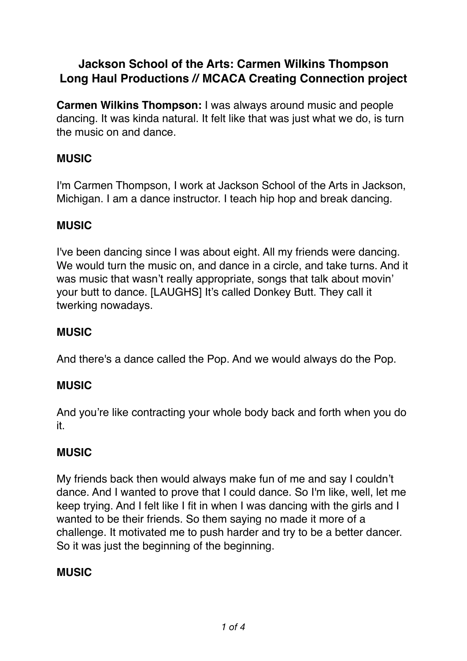# **Jackson School of the Arts: Carmen Wilkins Thompson Long Haul Productions // MCACA Creating Connection project**

**Carmen Wilkins Thompson:** I was always around music and people dancing. It was kinda natural. It felt like that was just what we do, is turn the music on and dance.

## **MUSIC**

I'm Carmen Thompson, I work at Jackson School of the Arts in Jackson, Michigan. I am a dance instructor. I teach hip hop and break dancing.

### **MUSIC**

I've been dancing since I was about eight. All my friends were dancing. We would turn the music on, and dance in a circle, and take turns. And it was music that wasn't really appropriate, songs that talk about movin' your butt to dance. [LAUGHS] It's called Donkey Butt. They call it twerking nowadays.

### **MUSIC**

And there's a dance called the Pop. And we would always do the Pop.

### **MUSIC**

And you're like contracting your whole body back and forth when you do it.

### **MUSIC**

My friends back then would always make fun of me and say I couldn't dance. And I wanted to prove that I could dance. So I'm like, well, let me keep trying. And I felt like I fit in when I was dancing with the girls and I wanted to be their friends. So them saying no made it more of a challenge. It motivated me to push harder and try to be a better dancer. So it was just the beginning of the beginning.

### **MUSIC**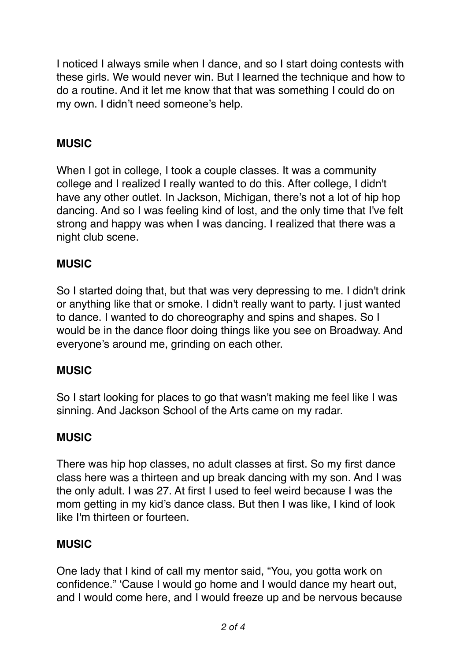I noticed I always smile when I dance, and so I start doing contests with these girls. We would never win. But I learned the technique and how to do a routine. And it let me know that that was something I could do on my own. I didn't need someone's help.

## **MUSIC**

When I got in college, I took a couple classes. It was a community college and I realized I really wanted to do this. After college, I didn't have any other outlet. In Jackson, Michigan, there's not a lot of hip hop dancing. And so I was feeling kind of lost, and the only time that I've felt strong and happy was when I was dancing. I realized that there was a night club scene.

#### **MUSIC**

So I started doing that, but that was very depressing to me. I didn't drink or anything like that or smoke. I didn't really want to party. I just wanted to dance. I wanted to do choreography and spins and shapes. So I would be in the dance floor doing things like you see on Broadway. And everyone's around me, grinding on each other.

### **MUSIC**

So I start looking for places to go that wasn't making me feel like I was sinning. And Jackson School of the Arts came on my radar.

### **MUSIC**

There was hip hop classes, no adult classes at first. So my first dance class here was a thirteen and up break dancing with my son. And I was the only adult. I was 27. At first I used to feel weird because I was the mom getting in my kid's dance class. But then I was like, I kind of look like I'm thirteen or fourteen.

### **MUSIC**

One lady that I kind of call my mentor said, "You, you gotta work on confidence." 'Cause I would go home and I would dance my heart out, and I would come here, and I would freeze up and be nervous because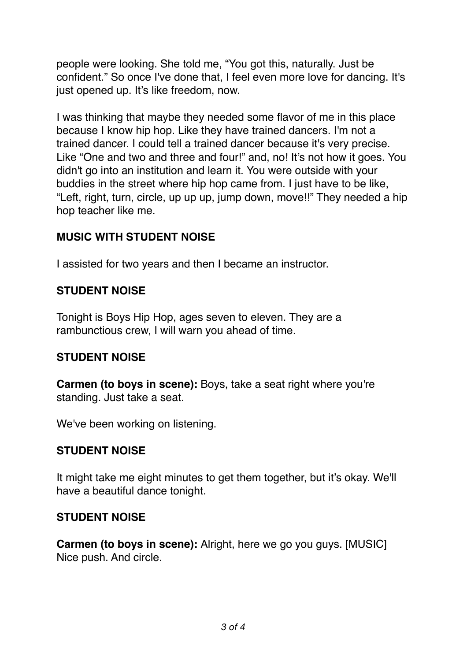people were looking. She told me, "You got this, naturally. Just be confident." So once I've done that, I feel even more love for dancing. It's just opened up. It's like freedom, now.

I was thinking that maybe they needed some flavor of me in this place because I know hip hop. Like they have trained dancers. I'm not a trained dancer. I could tell a trained dancer because it's very precise. Like "One and two and three and four!" and, no! It's not how it goes. You didn't go into an institution and learn it. You were outside with your buddies in the street where hip hop came from. I just have to be like, "Left, right, turn, circle, up up up, jump down, move!!" They needed a hip hop teacher like me.

### **MUSIC WITH STUDENT NOISE**

I assisted for two years and then I became an instructor.

## **STUDENT NOISE**

Tonight is Boys Hip Hop, ages seven to eleven. They are a rambunctious crew, I will warn you ahead of time.

### **STUDENT NOISE**

**Carmen (to boys in scene):** Boys, take a seat right where you're standing. Just take a seat.

We've been working on listening.

### **STUDENT NOISE**

It might take me eight minutes to get them together, but it's okay. We'll have a beautiful dance tonight.

#### **STUDENT NOISE**

**Carmen (to boys in scene):** Alright, here we go you guys. [MUSIC] Nice push. And circle.